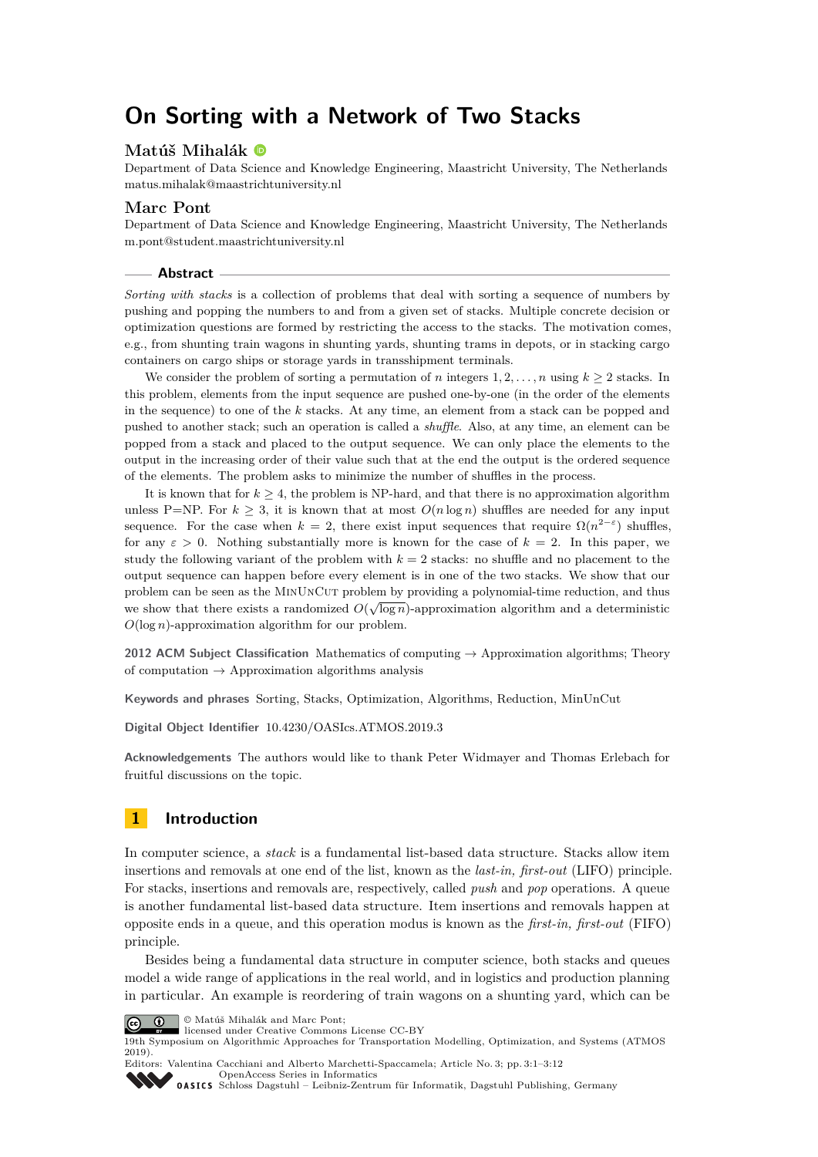# **On Sorting with a Network of Two Stacks**

# **Matúš Mihalák**

Department of Data Science and Knowledge Engineering, Maastricht University, The Netherlands [matus.mihalak@maastrichtuniversity.nl](mailto:matus.mihalak@maastrichtuniversity.nl)

## **Marc Pont**

Department of Data Science and Knowledge Engineering, Maastricht University, The Netherlands [m.pont@student.maastrichtuniversity.nl](mailto:m.pont@student.maastrichtuniversity.nl)

#### **Abstract**

*Sorting with stacks* is a collection of problems that deal with sorting a sequence of numbers by pushing and popping the numbers to and from a given set of stacks. Multiple concrete decision or optimization questions are formed by restricting the access to the stacks. The motivation comes, e.g., from shunting train wagons in shunting yards, shunting trams in depots, or in stacking cargo containers on cargo ships or storage yards in transshipment terminals.

We consider the problem of sorting a permutation of *n* integers  $1, 2, \ldots, n$  using  $k \geq 2$  stacks. In this problem, elements from the input sequence are pushed one-by-one (in the order of the elements in the sequence) to one of the *k* stacks. At any time, an element from a stack can be popped and pushed to another stack; such an operation is called a *shuffle*. Also, at any time, an element can be popped from a stack and placed to the output sequence. We can only place the elements to the output in the increasing order of their value such that at the end the output is the ordered sequence of the elements. The problem asks to minimize the number of shuffles in the process.

It is known that for  $k \geq 4$ , the problem is NP-hard, and that there is no approximation algorithm unless P=NP. For  $k \geq 3$ , it is known that at most  $O(n \log n)$  shuffles are needed for any input sequence. For the case when  $k = 2$ , there exist input sequences that require  $\Omega(n^{2-\epsilon})$  shuffles, for any  $\varepsilon > 0$ . Nothing substantially more is known for the case of  $k = 2$ . In this paper, we study the following variant of the problem with  $k = 2$  stacks: no shuffle and no placement to the output sequence can happen before every element is in one of the two stacks. We show that our problem can be seen as the MINUNCUT problem by providing a polynomial-time reduction, and thus we show that there exists a randomized  $O(\sqrt{\log n})$ -approximation algorithm and a deterministic *O*(log *n*)-approximation algorithm for our problem.

**2012 ACM Subject Classification** Mathematics of computing → Approximation algorithms; Theory of computation  $\rightarrow$  Approximation algorithms analysis

**Keywords and phrases** Sorting, Stacks, Optimization, Algorithms, Reduction, MinUnCut

**Digital Object Identifier** [10.4230/OASIcs.ATMOS.2019.3](https://doi.org/10.4230/OASIcs.ATMOS.2019.3)

**Acknowledgements** The authors would like to thank Peter Widmayer and Thomas Erlebach for fruitful discussions on the topic.

# **1 Introduction**

In computer science, a *stack* is a fundamental list-based data structure. Stacks allow item insertions and removals at one end of the list, known as the *last-in, first-out* (LIFO) principle. For stacks, insertions and removals are, respectively, called *push* and *pop* operations. A queue is another fundamental list-based data structure. Item insertions and removals happen at opposite ends in a queue, and this operation modus is known as the *first-in, first-out* (FIFO) principle.

Besides being a fundamental data structure in computer science, both stacks and queues model a wide range of applications in the real world, and in logistics and production planning in particular. An example is reordering of train wagons on a shunting yard, which can be



© Matúš Mihalák and Marc Pont; licensed under Creative Commons License CC-BY

19th Symposium on Algorithmic Approaches for Transportation Modelling, Optimization, and Systems (ATMOS 2019).

Editors: Valentina Cacchiani and Alberto Marchetti-Spaccamela; Article No. 3; pp. 3:1–3[:12](#page-11-0) [OpenAccess Series in Informatics](https://www.dagstuhl.de/oasics/) [Schloss Dagstuhl – Leibniz-Zentrum für Informatik, Dagstuhl Publishing, Germany](https://www.dagstuhl.de)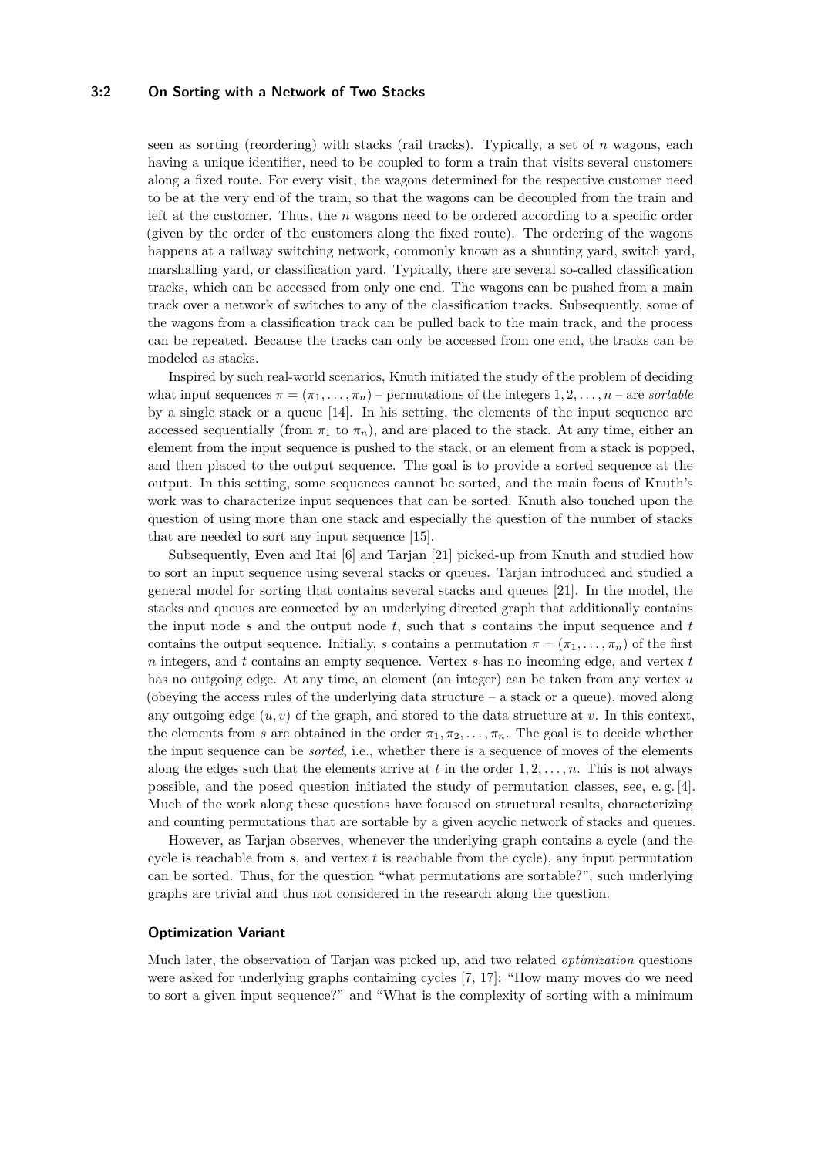#### **3:2 On Sorting with a Network of Two Stacks**

seen as sorting (reordering) with stacks (rail tracks). Typically, a set of *n* wagons, each having a unique identifier, need to be coupled to form a train that visits several customers along a fixed route. For every visit, the wagons determined for the respective customer need to be at the very end of the train, so that the wagons can be decoupled from the train and left at the customer. Thus, the *n* wagons need to be ordered according to a specific order (given by the order of the customers along the fixed route). The ordering of the wagons happens at a railway switching network, commonly known as a shunting yard, switch yard, marshalling yard, or classification yard. Typically, there are several so-called classification tracks, which can be accessed from only one end. The wagons can be pushed from a main track over a network of switches to any of the classification tracks. Subsequently, some of the wagons from a classification track can be pulled back to the main track, and the process can be repeated. Because the tracks can only be accessed from one end, the tracks can be modeled as stacks.

Inspired by such real-world scenarios, Knuth initiated the study of the problem of deciding what input sequences  $\pi = (\pi_1, \ldots, \pi_n)$  – permutations of the integers  $1, 2, \ldots, n$  – are *sortable* by a single stack or a queue [\[14\]](#page-10-0). In his setting, the elements of the input sequence are accessed sequentially (from  $\pi_1$  to  $\pi_n$ ), and are placed to the stack. At any time, either an element from the input sequence is pushed to the stack, or an element from a stack is popped, and then placed to the output sequence. The goal is to provide a sorted sequence at the output. In this setting, some sequences cannot be sorted, and the main focus of Knuth's work was to characterize input sequences that can be sorted. Knuth also touched upon the question of using more than one stack and especially the question of the number of stacks that are needed to sort any input sequence [\[15\]](#page-10-1).

Subsequently, Even and Itai [\[6\]](#page-10-2) and Tarjan [\[21\]](#page-11-1) picked-up from Knuth and studied how to sort an input sequence using several stacks or queues. Tarjan introduced and studied a general model for sorting that contains several stacks and queues [\[21\]](#page-11-1). In the model, the stacks and queues are connected by an underlying directed graph that additionally contains the input node *s* and the output node *t*, such that *s* contains the input sequence and *t* contains the output sequence. Initially, *s* contains a permutation  $\pi = (\pi_1, \ldots, \pi_n)$  of the first *n* integers, and *t* contains an empty sequence. Vertex *s* has no incoming edge, and vertex *t* has no outgoing edge. At any time, an element (an integer) can be taken from any vertex *u* (obeying the access rules of the underlying data structure  $-$  a stack or a queue), moved along any outgoing edge  $(u, v)$  of the graph, and stored to the data structure at  $v$ . In this context, the elements from *s* are obtained in the order  $\pi_1, \pi_2, \ldots, \pi_n$ . The goal is to decide whether the input sequence can be *sorted*, i.e., whether there is a sequence of moves of the elements along the edges such that the elements arrive at  $t$  in the order  $1, 2, \ldots, n$ . This is not always possible, and the posed question initiated the study of permutation classes, see, e. g. [\[4\]](#page-10-3). Much of the work along these questions have focused on structural results, characterizing and counting permutations that are sortable by a given acyclic network of stacks and queues.

However, as Tarjan observes, whenever the underlying graph contains a cycle (and the cycle is reachable from *s*, and vertex *t* is reachable from the cycle), any input permutation can be sorted. Thus, for the question "what permutations are sortable?", such underlying graphs are trivial and thus not considered in the research along the question.

#### **Optimization Variant**

Much later, the observation of Tarjan was picked up, and two related *optimization* questions were asked for underlying graphs containing cycles [\[7,](#page-10-4) [17\]](#page-10-5): "How many moves do we need to sort a given input sequence?" and "What is the complexity of sorting with a minimum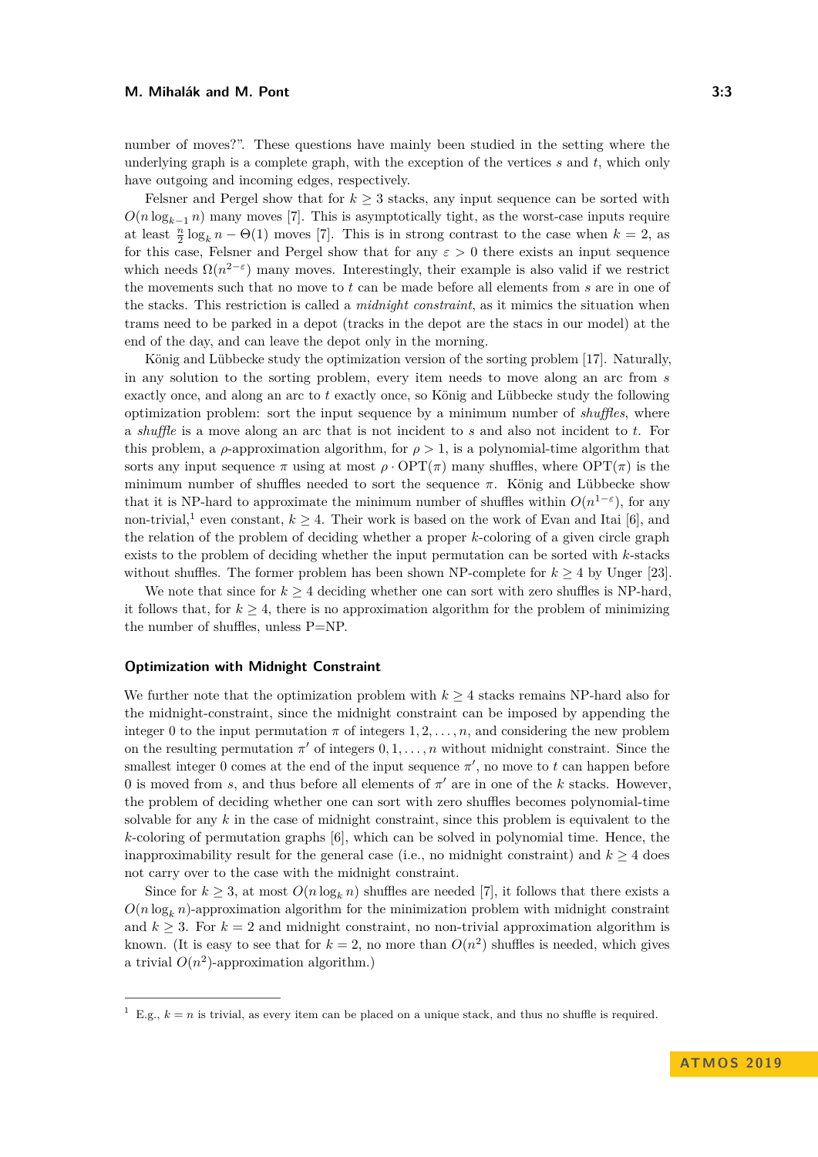number of moves?". These questions have mainly been studied in the setting where the underlying graph is a complete graph, with the exception of the vertices *s* and *t*, which only have outgoing and incoming edges, respectively.

Felsner and Pergel show that for  $k \geq 3$  stacks, any input sequence can be sorted with  $O(n \log_{k-1} n)$  many moves [\[7\]](#page-10-4). This is asymptotically tight, as the worst-case inputs require at least  $\frac{n}{2} \log_k n - \Theta(1)$  moves [\[7\]](#page-10-4). This is in strong contrast to the case when  $k = 2$ , as for this case, Felsner and Pergel show that for any  $\varepsilon > 0$  there exists an input sequence which needs  $\Omega(n^{2-\epsilon})$  many moves. Interestingly, their example is also valid if we restrict the movements such that no move to *t* can be made before all elements from *s* are in one of the stacks. This restriction is called a *midnight constraint*, as it mimics the situation when trams need to be parked in a depot (tracks in the depot are the stacs in our model) at the end of the day, and can leave the depot only in the morning.

König and Lübbecke study the optimization version of the sorting problem [\[17\]](#page-10-5). Naturally, in any solution to the sorting problem, every item needs to move along an arc from *s* exactly once, and along an arc to *t* exactly once, so König and Lübbecke study the following optimization problem: sort the input sequence by a minimum number of *shuffles*, where a *shuffle* is a move along an arc that is not incident to *s* and also not incident to *t*. For this problem, a  $\rho$ -approximation algorithm, for  $\rho > 1$ , is a polynomial-time algorithm that sorts any input sequence  $\pi$  using at most  $\rho \cdot \text{OPT}(\pi)$  many shuffles, where  $\text{OPT}(\pi)$  is the minimum number of shuffles needed to sort the sequence  $\pi$ . König and Lübbecke show that it is NP-hard to approximate the minimum number of shuffles within  $O(n^{1-\epsilon})$ , for any non-trivial,<sup>[1](#page-2-0)</sup> even constant,  $k \geq 4$ . Their work is based on the work of Evan and Itai [\[6\]](#page-10-2), and the relation of the problem of deciding whether a proper *k*-coloring of a given circle graph exists to the problem of deciding whether the input permutation can be sorted with *k*-stacks without shuffles. The former problem has been shown NP-complete for  $k \geq 4$  by Unger [\[23\]](#page-11-2).

We note that since for  $k \geq 4$  deciding whether one can sort with zero shuffles is NP-hard, it follows that, for  $k \geq 4$ , there is no approximation algorithm for the problem of minimizing the number of shuffles, unless P=NP.

## **Optimization with Midnight Constraint**

We further note that the optimization problem with  $k \geq 4$  stacks remains NP-hard also for the midnight-constraint, since the midnight constraint can be imposed by appending the integer 0 to the input permutation  $\pi$  of integers  $1, 2, \ldots, n$ , and considering the new problem on the resulting permutation  $\pi'$  of integers  $0, 1, \ldots, n$  without midnight constraint. Since the smallest integer 0 comes at the end of the input sequence  $\pi'$ , no move to  $t$  can happen before 0 is moved from *s*, and thus before all elements of  $\pi'$  are in one of the *k* stacks. However, the problem of deciding whether one can sort with zero shuffles becomes polynomial-time solvable for any *k* in the case of midnight constraint, since this problem is equivalent to the *k*-coloring of permutation graphs [\[6\]](#page-10-2), which can be solved in polynomial time. Hence, the inapproximability result for the general case (i.e., no midnight constraint) and  $k \geq 4$  does not carry over to the case with the midnight constraint.

Since for  $k \geq 3$ , at most  $O(n \log_k n)$  shuffles are needed [\[7\]](#page-10-4), it follows that there exists a  $O(n \log_k n)$ -approximation algorithm for the minimization problem with midnight constraint and  $k \geq 3$ . For  $k = 2$  and midnight constraint, no non-trivial approximation algorithm is known. (It is easy to see that for  $k = 2$ , no more than  $O(n^2)$  shuffles is needed, which gives a trivial  $O(n^2)$ -approximation algorithm.)

<span id="page-2-0"></span><sup>&</sup>lt;sup>1</sup> E.g.,  $k = n$  is trivial, as every item can be placed on a unique stack, and thus no shuffle is required.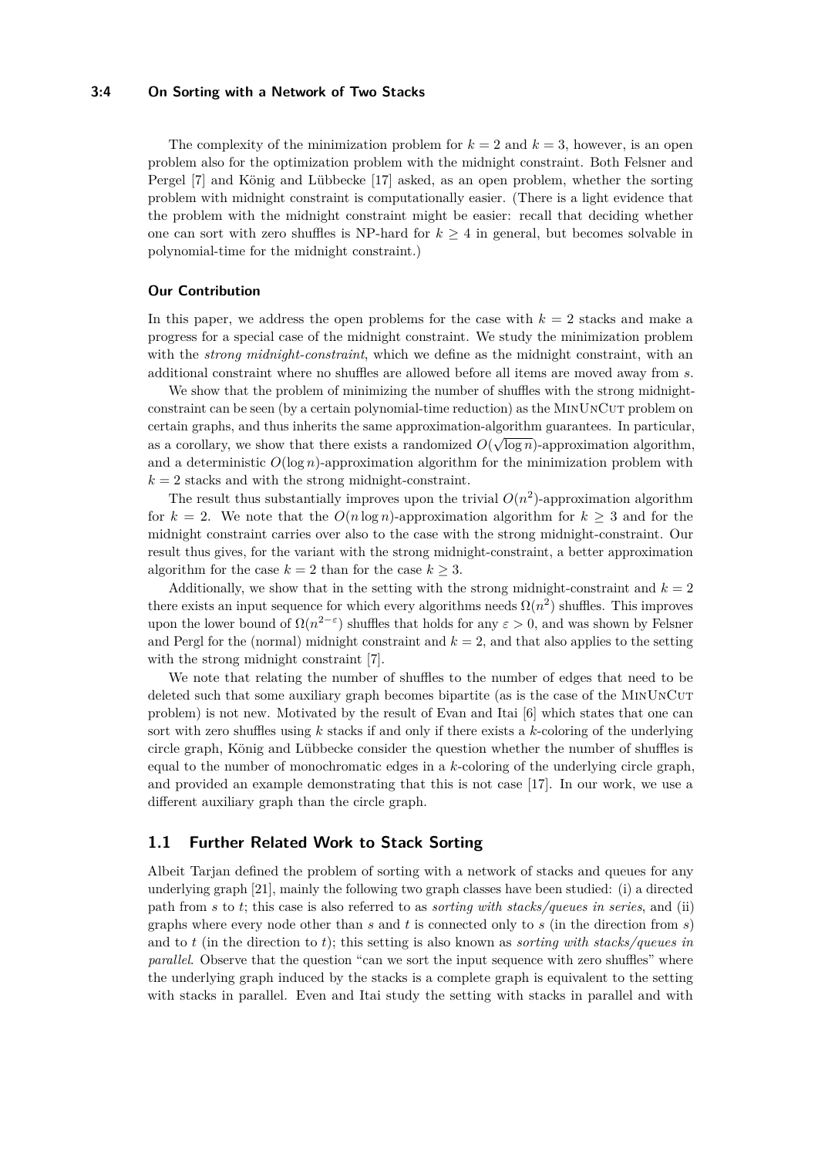#### **3:4 On Sorting with a Network of Two Stacks**

The complexity of the minimization problem for  $k = 2$  and  $k = 3$ , however, is an open problem also for the optimization problem with the midnight constraint. Both Felsner and Pergel [\[7\]](#page-10-4) and König and Lübbecke [\[17\]](#page-10-5) asked, as an open problem, whether the sorting problem with midnight constraint is computationally easier. (There is a light evidence that the problem with the midnight constraint might be easier: recall that deciding whether one can sort with zero shuffles is NP-hard for  $k \geq 4$  in general, but becomes solvable in polynomial-time for the midnight constraint.)

#### **Our Contribution**

In this paper, we address the open problems for the case with  $k = 2$  stacks and make a progress for a special case of the midnight constraint. We study the minimization problem with the *strong midnight-constraint*, which we define as the midnight constraint, with an additional constraint where no shuffles are allowed before all items are moved away from *s*.

We show that the problem of minimizing the number of shuffles with the strong midnightconstraint can be seen (by a certain polynomial-time reduction) as the MINUNCUT problem on certain graphs, and thus inherits the same approximation-algorithm guarantees. In particular, √ as a corollary, we show that there exists a randomized  $O(\sqrt{\log n})$ -approximation algorithm, and a deterministic  $O(\log n)$ -approximation algorithm for the minimization problem with  $k = 2$  stacks and with the strong midnight-constraint.

The result thus substantially improves upon the trivial  $O(n^2)$ -approximation algorithm for  $k = 2$ . We note that the  $O(n \log n)$ -approximation algorithm for  $k > 3$  and for the midnight constraint carries over also to the case with the strong midnight-constraint. Our result thus gives, for the variant with the strong midnight-constraint, a better approximation algorithm for the case  $k = 2$  than for the case  $k \geq 3$ .

Additionally, we show that in the setting with the strong midnight-constraint and  $k = 2$ there exists an input sequence for which every algorithms needs  $\Omega(n^2)$  shuffles. This improves upon the lower bound of  $\Omega(n^{2-\epsilon})$  shuffles that holds for any  $\varepsilon > 0$ , and was shown by Felsner and Pergl for the (normal) midnight constraint and  $k = 2$ , and that also applies to the setting with the strong midnight constraint [\[7\]](#page-10-4).

We note that relating the number of shuffles to the number of edges that need to be deleted such that some auxiliary graph becomes bipartite (as is the case of the MINUNCUT problem) is not new. Motivated by the result of Evan and Itai [\[6\]](#page-10-2) which states that one can sort with zero shuffles using *k* stacks if and only if there exists a *k*-coloring of the underlying circle graph, König and Lübbecke consider the question whether the number of shuffles is equal to the number of monochromatic edges in a *k*-coloring of the underlying circle graph, and provided an example demonstrating that this is not case [\[17\]](#page-10-5). In our work, we use a different auxiliary graph than the circle graph.

## **1.1 Further Related Work to Stack Sorting**

Albeit Tarjan defined the problem of sorting with a network of stacks and queues for any underlying graph [\[21\]](#page-11-1), mainly the following two graph classes have been studied: (i) a directed path from *s* to *t*; this case is also referred to as *sorting with stacks/queues in series*, and (ii) graphs where every node other than *s* and *t* is connected only to *s* (in the direction from *s*) and to *t* (in the direction to *t*); this setting is also known as *sorting with stacks/queues in parallel*. Observe that the question "can we sort the input sequence with zero shuffles" where the underlying graph induced by the stacks is a complete graph is equivalent to the setting with stacks in parallel. Even and Itai study the setting with stacks in parallel and with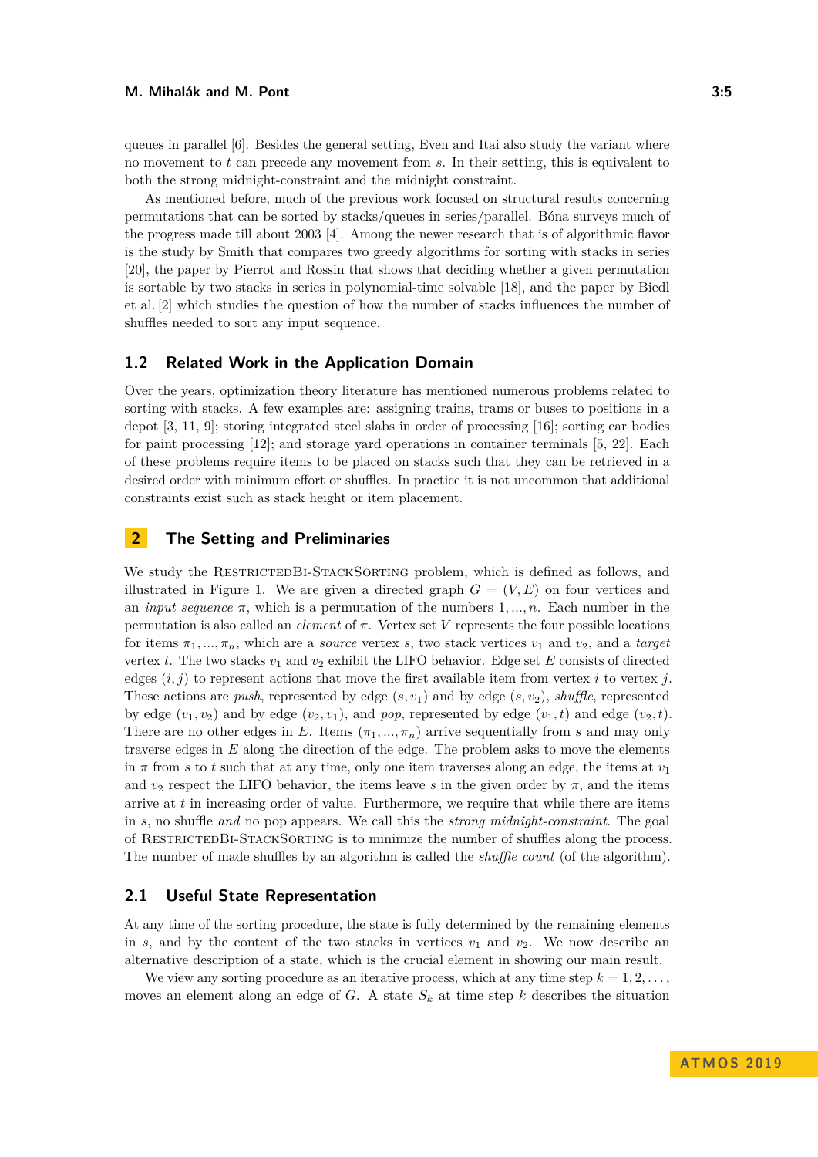As mentioned before, much of the previous work focused on structural results concerning permutations that can be sorted by stacks/queues in series/parallel. Bóna surveys much of the progress made till about 2003 [\[4\]](#page-10-3). Among the newer research that is of algorithmic flavor is the study by Smith that compares two greedy algorithms for sorting with stacks in series [\[20\]](#page-11-3), the paper by Pierrot and Rossin that shows that deciding whether a given permutation is sortable by two stacks in series in polynomial-time solvable [\[18\]](#page-10-6), and the paper by Biedl et al. [\[2\]](#page-10-7) which studies the question of how the number of stacks influences the number of shuffles needed to sort any input sequence.

## **1.2 Related Work in the Application Domain**

Over the years, optimization theory literature has mentioned numerous problems related to sorting with stacks. A few examples are: assigning trains, trams or buses to positions in a depot [\[3,](#page-10-8) [11,](#page-10-9) [9\]](#page-10-10); storing integrated steel slabs in order of processing [\[16\]](#page-10-11); sorting car bodies for paint processing [\[12\]](#page-10-12); and storage yard operations in container terminals [\[5,](#page-10-13) [22\]](#page-11-4). Each of these problems require items to be placed on stacks such that they can be retrieved in a desired order with minimum effort or shuffles. In practice it is not uncommon that additional constraints exist such as stack height or item placement.

# **2 The Setting and Preliminaries**

We study the RESTRICTEDBI-STACKSORTING problem, which is defined as follows, and illustrated in Figure [1.](#page-5-0) We are given a directed graph  $G = (V, E)$  on four vertices and an *input sequence*  $\pi$ , which is a permutation of the numbers 1, ..., *n*. Each number in the permutation is also called an *element* of *π*. Vertex set *V* represents the four possible locations for items  $\pi_1, \ldots, \pi_n$ , which are a *source* vertex *s*, two stack vertices  $v_1$  and  $v_2$ , and a *target* vertex *t*. The two stacks  $v_1$  and  $v_2$  exhibit the LIFO behavior. Edge set *E* consists of directed edges  $(i, j)$  to represent actions that move the first available item from vertex *i* to vertex *j*. These actions are *push*, represented by edge (*s, v*1) and by edge (*s, v*2), *shuffle*, represented by edge  $(v_1, v_2)$  and by edge  $(v_2, v_1)$ , and *pop*, represented by edge  $(v_1, t)$  and edge  $(v_2, t)$ . There are no other edges in *E*. Items  $(\pi_1, ..., \pi_n)$  arrive sequentially from *s* and may only traverse edges in *E* along the direction of the edge. The problem asks to move the elements in  $\pi$  from *s* to *t* such that at any time, only one item traverses along an edge, the items at  $v_1$ and  $v_2$  respect the LIFO behavior, the items leave *s* in the given order by  $\pi$ , and the items arrive at *t* in increasing order of value. Furthermore, we require that while there are items in *s*, no shuffle *and* no pop appears. We call this the *strong midnight-constraint*. The goal of RestrictedBi-StackSorting is to minimize the number of shuffles along the process. The number of made shuffles by an algorithm is called the *shuffle count* (of the algorithm).

## **2.1 Useful State Representation**

At any time of the sorting procedure, the state is fully determined by the remaining elements in *s*, and by the content of the two stacks in vertices  $v_1$  and  $v_2$ . We now describe an alternative description of a state, which is the crucial element in showing our main result.

We view any sorting procedure as an iterative process, which at any time step  $k = 1, 2, \ldots$ , moves an element along an edge of  $G$ . A state  $S_k$  at time step  $k$  describes the situation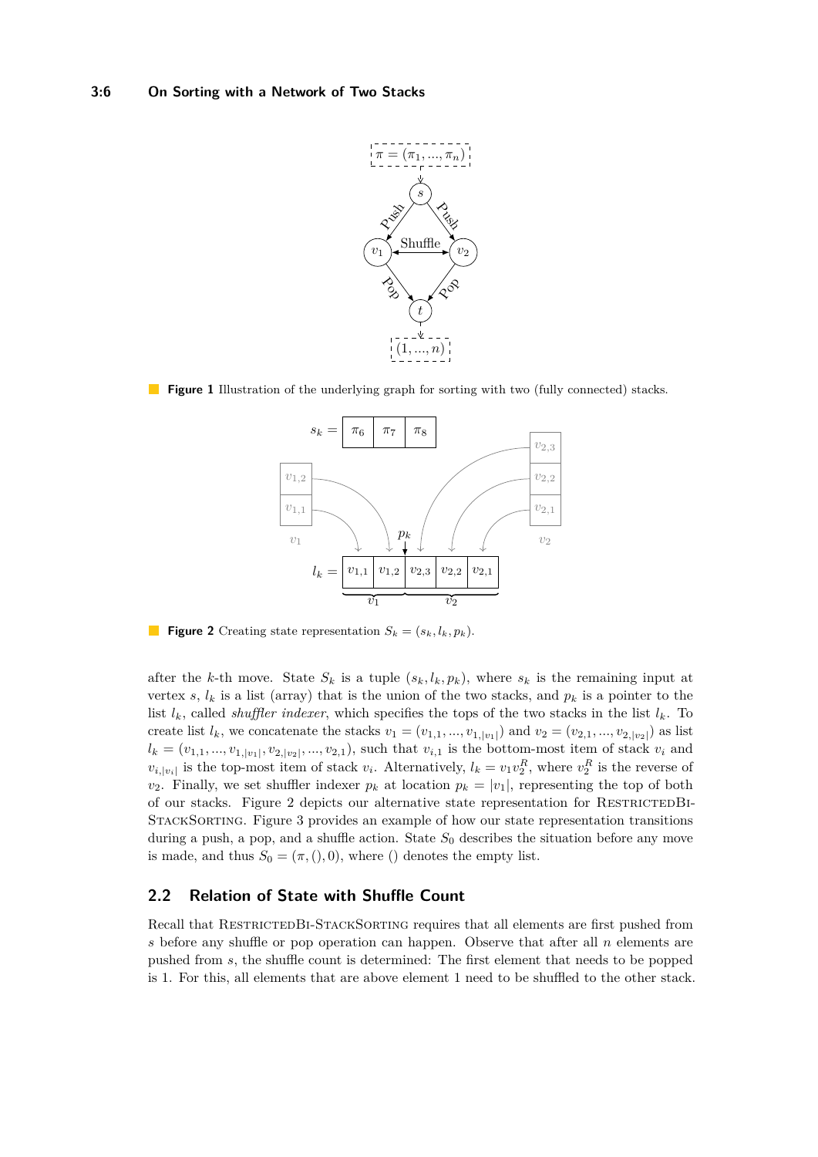<span id="page-5-0"></span>

<span id="page-5-1"></span>**Figure 1** Illustration of the underlying graph for sorting with two (fully connected) stacks.



**Figure 2** Creating state representation  $S_k = (s_k, l_k, p_k)$ .

after the *k*-th move. State  $S_k$  is a tuple  $(s_k, l_k, p_k)$ , where  $s_k$  is the remaining input at vertex  $s, l_k$  is a list (array) that is the union of the two stacks, and  $p_k$  is a pointer to the list  $l_k$ , called *shuffler indexer*, which specifies the tops of the two stacks in the list  $l_k$ . To create list  $l_k$ , we concatenate the stacks  $v_1 = (v_{1,1}, ..., v_{1,|v_1|})$  and  $v_2 = (v_{2,1}, ..., v_{2,|v_2|})$  as list  $l_k = (v_{1,1},...,v_{1,|v_1|}, v_{2,|v_2|},...,v_{2,1}),$  such that  $v_{i,1}$  is the bottom-most item of stack  $v_i$  and  $v_{i,|v_i|}$  is the top-most item of stack  $v_i$ . Alternatively,  $l_k = v_1 v_2^R$ , where  $v_2^R$  is the reverse of *v*<sub>2</sub>. Finally, we set shuffler indexer  $p_k$  at location  $p_k = |v_1|$ , representing the top of both of our stacks. Figure [2](#page-5-1) depicts our alternative state representation for RESTRICTEDBI-StackSorting. Figure [3](#page-6-0) provides an example of how our state representation transitions during a push, a pop, and a shuffle action. State  $S_0$  describes the situation before any move is made, and thus  $S_0 = (\pi,(),0)$ , where () denotes the empty list.

# <span id="page-5-2"></span>**2.2 Relation of State with Shuffle Count**

Recall that RESTRICTEDBI-STACKSORTING requires that all elements are first pushed from *s* before any shuffle or pop operation can happen. Observe that after all *n* elements are pushed from *s*, the shuffle count is determined: The first element that needs to be popped is 1. For this, all elements that are above element 1 need to be shuffled to the other stack.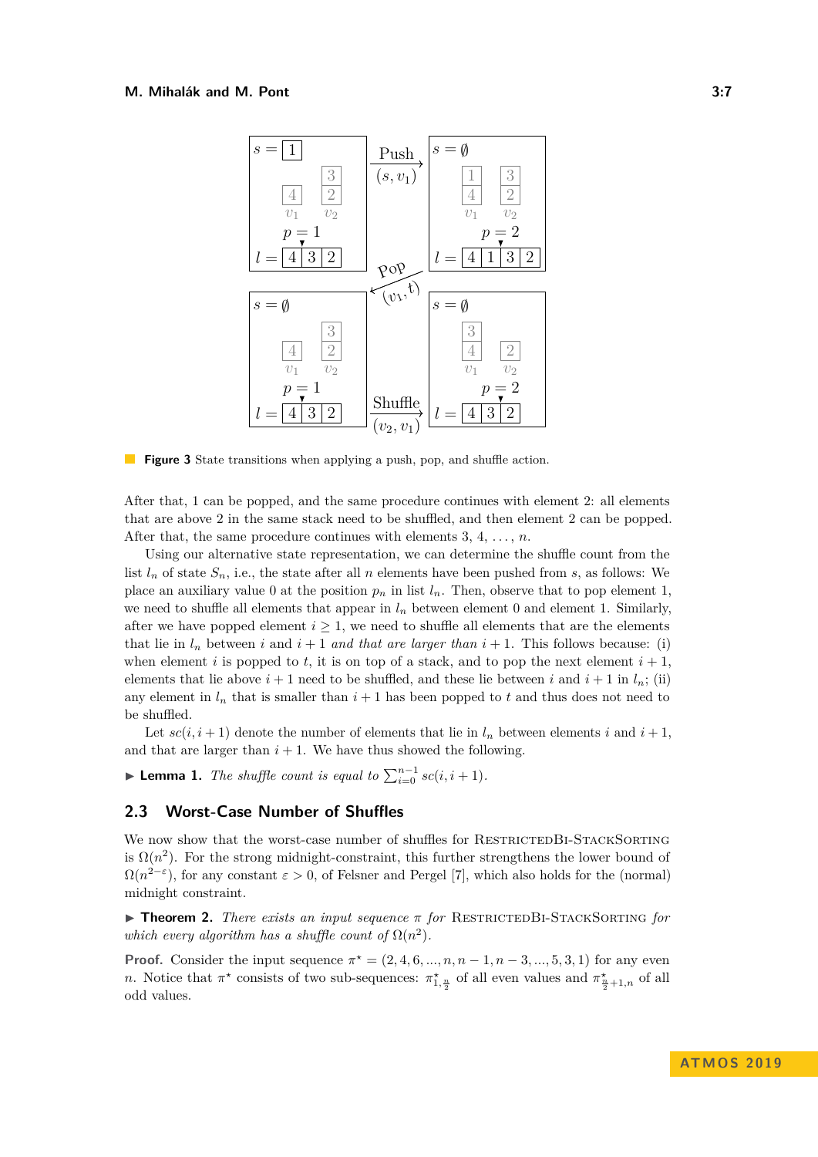#### <span id="page-6-0"></span>**M. Mihalák and M. Pont 3:7**



**Figure 3** State transitions when applying a push, pop, and shuffle action.

After that, 1 can be popped, and the same procedure continues with element 2: all elements that are above 2 in the same stack need to be shuffled, and then element 2 can be popped. After that, the same procedure continues with elements  $3, 4, \ldots, n$ .

Using our alternative state representation, we can determine the shuffle count from the list  $l_n$  of state  $S_n$ , i.e., the state after all *n* elements have been pushed from *s*, as follows: We place an auxiliary value 0 at the position  $p_n$  in list  $l_n$ . Then, observe that to pop element 1, we need to shuffle all elements that appear in  $l_n$  between element 0 and element 1. Similarly, after we have popped element  $i \geq 1$ , we need to shuffle all elements that are the elements that lie in  $l_n$  between *i* and  $i + 1$  *and that are larger than*  $i + 1$ . This follows because: (i) when element *i* is popped to *t*, it is on top of a stack, and to pop the next element  $i + 1$ , elements that lie above  $i + 1$  need to be shuffled, and these lie between *i* and  $i + 1$  in  $l_n$ ; (ii) any element in  $l_n$  that is smaller than  $i + 1$  has been popped to  $t$  and thus does not need to be shuffled.

Let  $\mathfrak{se}(i, i+1)$  denote the number of elements that lie in  $l_n$  between elements i and  $i+1$ , and that are larger than  $i + 1$ . We have thus showed the following.

<span id="page-6-1"></span>► **Lemma 1.** *The shuffle count is equal to*  $\sum_{i=0}^{n-1} sc(i, i+1)$ *.* 

## **2.3 Worst-Case Number of Shuffles**

We now show that the worst-case number of shuffles for RESTRICTEDBI-STACKSORTING is  $\Omega(n^2)$ . For the strong midnight-constraint, this further strengthens the lower bound of  $\Omega(n^{2-\epsilon})$ , for any constant  $\epsilon > 0$ , of Felsner and Pergel [\[7\]](#page-10-4), which also holds for the (normal) midnight constraint.

**In Theorem 2.** *There exists an input sequence*  $\pi$  *for* RESTRICTEDBI-STACKSORTING *for which every algorithm has a shuffle count of*  $\Omega(n^2)$ *.* 

**Proof.** Consider the input sequence  $\pi^* = (2, 4, 6, ..., n, n - 1, n - 3, ..., 5, 3, 1)$  for any even *n*. Notice that  $\pi^*$  consists of two sub-sequences:  $\pi^*_{1,\frac{n}{2}}$  of all even values and  $\pi^*_{\frac{n}{2}+1,n}$  of all odd values.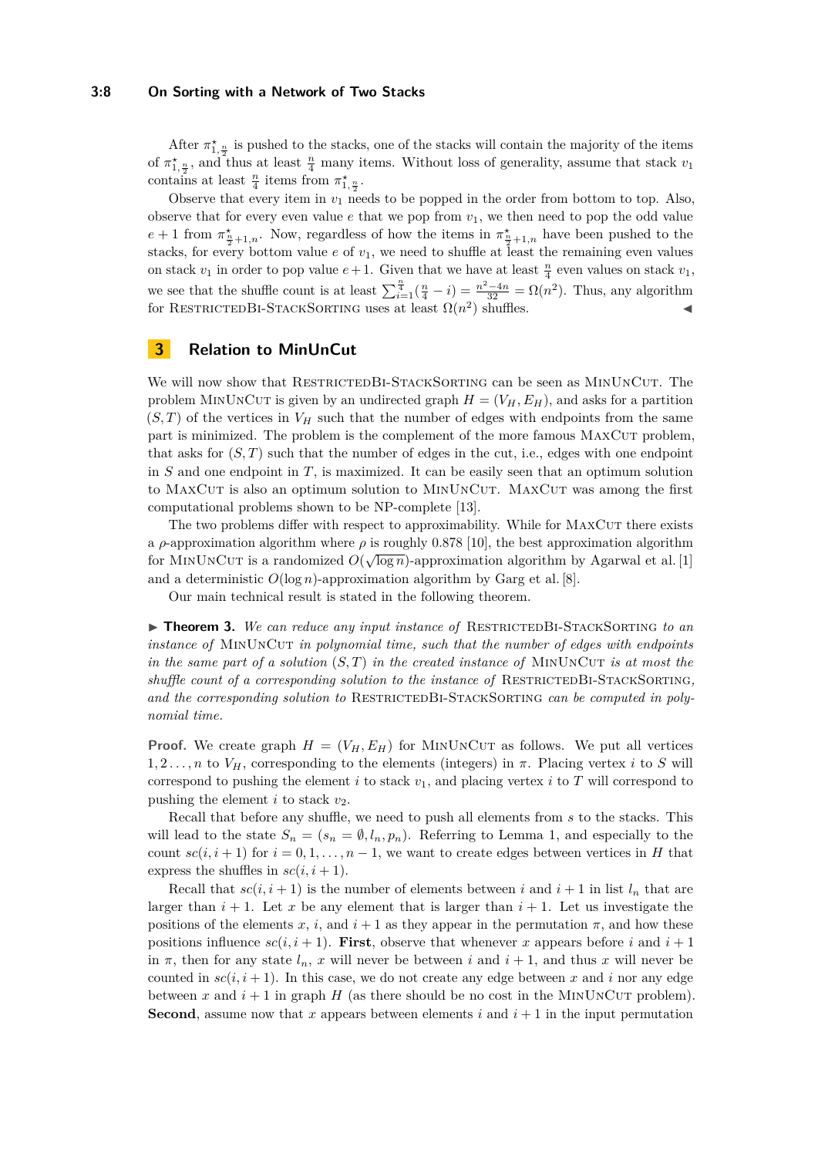#### **3:8 On Sorting with a Network of Two Stacks**

After  $\pi^*_{1,\frac{n}{2}}$  is pushed to the stacks, one of the stacks will contain the majority of the items of  $\pi_{1,\frac{n}{2}}^*$ , and thus at least  $\frac{n}{4}$  many items. Without loss of generality, assume that stack  $v_1$ contains at least  $\frac{n}{4}$  items from  $\pi_{1,\frac{n}{2}}^{\star}$ .

Observe that every item in  $v_1$  needs to be popped in the order from bottom to top. Also, observe that for every even value  $e$  that we pop from  $v_1$ , we then need to pop the odd value  $e + 1$  from  $\pi^*_{\frac{n}{2}+1,n}$ . Now, regardless of how the items in  $\pi^*_{\frac{n}{2}+1,n}$  have been pushed to the stacks, for every bottom value  $e$  of  $v_1$ , we need to shuffle at least the remaining even values on stack  $v_1$  in order to pop value  $e+1$ . Given that we have at least  $\frac{n}{4}$  even values on stack  $v_1$ , we see that the shuffle count is at least  $\sum_{i=1}^{\frac{n}{4}}(\frac{n}{4}-i) = \frac{n^2-4n}{32} = \Omega(n^2)$ . Thus, any algorithm for RESTRICTEDBI-STACKSORTING uses at least  $\Omega(n^2)$  shuffles.

# **3 Relation to MinUnCut**

We will now show that RESTRICTEDBI-STACKSORTING can be seen as MINUNCUT. The problem MINUNCUT is given by an undirected graph  $H = (V_H, E_H)$ , and asks for a partition  $(S, T)$  of the vertices in  $V_H$  such that the number of edges with endpoints from the same part is minimized. The problem is the complement of the more famous MaxCut problem, that asks for  $(S, T)$  such that the number of edges in the cut, i.e., edges with one endpoint in *S* and one endpoint in *T*, is maximized. It can be easily seen that an optimum solution to MaxCut is also an optimum solution to MinUnCut. MaxCut was among the first computational problems shown to be NP-complete [\[13\]](#page-10-14).

The two problems differ with respect to approximability. While for MAXCUT there exists a *ρ*-approximation algorithm where *ρ* is roughly 0.878 [\[10\]](#page-10-15), the best approximation algorithm for MINUNCUT is a randomized  $O(\sqrt{\log n})$ -approximation algorithm by Agarwal et al. [\[1\]](#page-10-16) and a deterministic  $O(\log n)$ -approximation algorithm by Garg et al. [\[8\]](#page-10-17).

Our main technical result is stated in the following theorem.

<span id="page-7-0"></span>▶ **Theorem 3.** *We can reduce any input instance of* RESTRICTEDBI-STACKSORTING *to an instance of* MINUNCUT *in polynomial time, such that the number of edges with endpoints in the same part of a solution*  $(S, T)$  *in the created instance of MINUNCUT is at most the shuffle count of a corresponding solution to the instance of* RESTRICTEDBI-STACKSORTING, and the corresponding solution to RESTRICTEDBI-STACKSORTING *can be computed in polynomial time.*

**Proof.** We create graph  $H = (V_H, E_H)$  for MINUNCUT as follows. We put all vertices 1*,* 2 *. . . , n* to *VH*, corresponding to the elements (integers) in *π*. Placing vertex *i* to *S* will correspond to pushing the element *i* to stack  $v_1$ , and placing vertex *i* to *T* will correspond to pushing the element  $i$  to stack  $v_2$ .

Recall that before any shuffle, we need to push all elements from *s* to the stacks. This will lead to the state  $S_n = (s_n = \emptyset, l_n, p_n)$ . Referring to Lemma [1,](#page-6-1) and especially to the count  $sc(i, i + 1)$  for  $i = 0, 1, \ldots, n - 1$ , we want to create edges between vertices in *H* that express the shuffles in  $\mathfrak{se}(i, i+1)$ .

Recall that  $sc(i, i + 1)$  is the number of elements between *i* and  $i + 1$  in list  $l_n$  that are larger than  $i + 1$ . Let *x* be any element that is larger than  $i + 1$ . Let us investigate the positions of the elements x, i, and  $i + 1$  as they appear in the permutation  $\pi$ , and how these positions influence  $sc(i, i + 1)$ . **First**, observe that whenever *x* appears before *i* and  $i + 1$ in  $\pi$ , then for any state  $l_n$ , *x* will never be between *i* and  $i + 1$ , and thus *x* will never be counted in  $\mathfrak{se}(i, i+1)$ . In this case, we do not create any edge between x and i nor any edge between x and  $i + 1$  in graph H (as there should be no cost in the MINUNCUT problem). **Second**, assume now that *x* appears between elements *i* and  $i + 1$  in the input permutation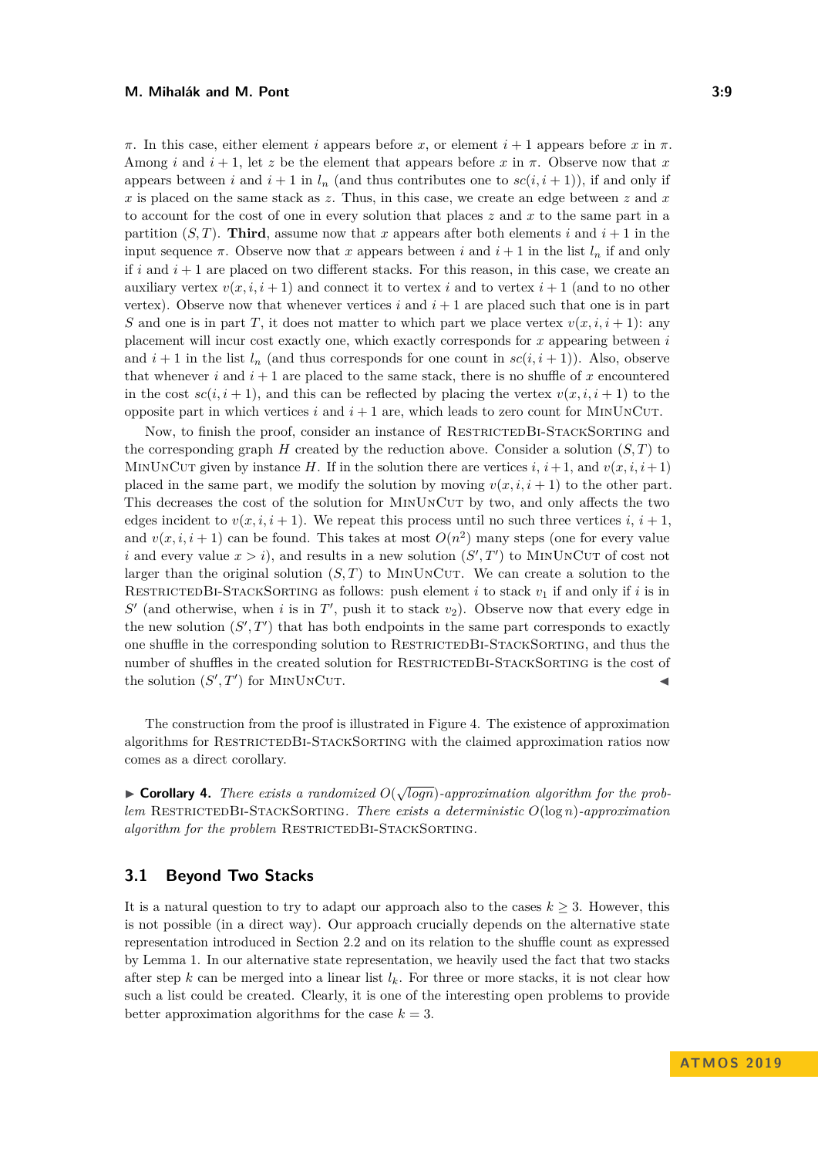*π*. In this case, either element *i* appears before *x*, or element *i* + 1 appears before *x* in *π*. Among *i* and  $i + 1$ , let *z* be the element that appears before *x* in  $\pi$ . Observe now that *x* appears between *i* and  $i + 1$  in  $l_n$  (and thus contributes one to  $sc(i, i + 1)$ ), if and only if *x* is placed on the same stack as *z*. Thus, in this case, we create an edge between *z* and *x* to account for the cost of one in every solution that places *z* and *x* to the same part in a partition  $(S, T)$ . **Third**, assume now that *x* appears after both elements *i* and  $i + 1$  in the input sequence  $\pi$ . Observe now that *x* appears between *i* and  $i + 1$  in the list  $l_n$  if and only if  $i$  and  $i + 1$  are placed on two different stacks. For this reason, in this case, we create an auxiliary vertex  $v(x, i, i + 1)$  and connect it to vertex *i* and to vertex  $i + 1$  (and to no other vertex). Observe now that whenever vertices  $i$  and  $i+1$  are placed such that one is in part *S* and one is in part *T*, it does not matter to which part we place vertex  $v(x, i, i + 1)$ : any placement will incur cost exactly one, which exactly corresponds for *x* appearing between *i* and  $i + 1$  in the list  $l_n$  (and thus corresponds for one count in  $sc(i, i + 1)$ ). Also, observe that whenever  $i$  and  $i + 1$  are placed to the same stack, there is no shuffle of  $x$  encountered in the cost  $sc(i, i + 1)$ , and this can be reflected by placing the vertex  $v(x, i, i + 1)$  to the opposite part in which vertices  $i$  and  $i + 1$  are, which leads to zero count for MINUNCUT.

Now, to finish the proof, consider an instance of RESTRICTEDBI-STACKSORTING and the corresponding graph  $H$  created by the reduction above. Consider a solution  $(S, T)$  to MINUNCUT given by instance *H*. If in the solution there are vertices *i*,  $i + 1$ , and  $v(x, i, i + 1)$ placed in the same part, we modify the solution by moving  $v(x, i, i + 1)$  to the other part. This decreases the cost of the solution for MINUNCUT by two, and only affects the two edges incident to  $v(x, i, i + 1)$ . We repeat this process until no such three vertices *i*,  $i + 1$ . and  $v(x, i, i + 1)$  can be found. This takes at most  $O(n^2)$  many steps (one for every value *i* and every value  $x > i$ , and results in a new solution  $(S', T')$  to MINUNCUT of cost not larger than the original solution  $(S, T)$  to MINUNCUT. We can create a solution to the RESTRICTEDBI-STACKSORTING as follows: push element *i* to stack  $v_1$  if and only if *i* is in  $S'$  (and otherwise, when *i* is in  $T'$ , push it to stack  $v_2$ ). Observe now that every edge in the new solution  $(S', T')$  that has both endpoints in the same part corresponds to exactly one shuffle in the corresponding solution to RestrictedBi-StackSorting, and thus the number of shuffles in the created solution for RESTRICTEDBI-STACKSORTING is the cost of the solution  $(S', T')$  for MINUNCUT.

The construction from the proof is illustrated in Figure [4.](#page-9-0) The existence of approximation algorithms for RESTRICTEDBI-STACKSORTING with the claimed approximation ratios now comes as a direct corollary.

► **Corollary 4.** *There exists a randomized*  $O(\sqrt{\log n})$ -approximation algorithm for the prob*lem* RestrictedBi-StackSorting*. There exists a deterministic O*(log *n*)*-approximation algorithm for the problem* RESTRICTEDBI-STACKSORTING.

## **3.1 Beyond Two Stacks**

It is a natural question to try to adapt our approach also to the cases  $k \geq 3$ . However, this is not possible (in a direct way). Our approach crucially depends on the alternative state representation introduced in Section [2.2](#page-5-2) and on its relation to the shuffle count as expressed by Lemma [1.](#page-6-1) In our alternative state representation, we heavily used the fact that two stacks after step *k* can be merged into a linear list  $l_k$ . For three or more stacks, it is not clear how such a list could be created. Clearly, it is one of the interesting open problems to provide better approximation algorithms for the case  $k = 3$ .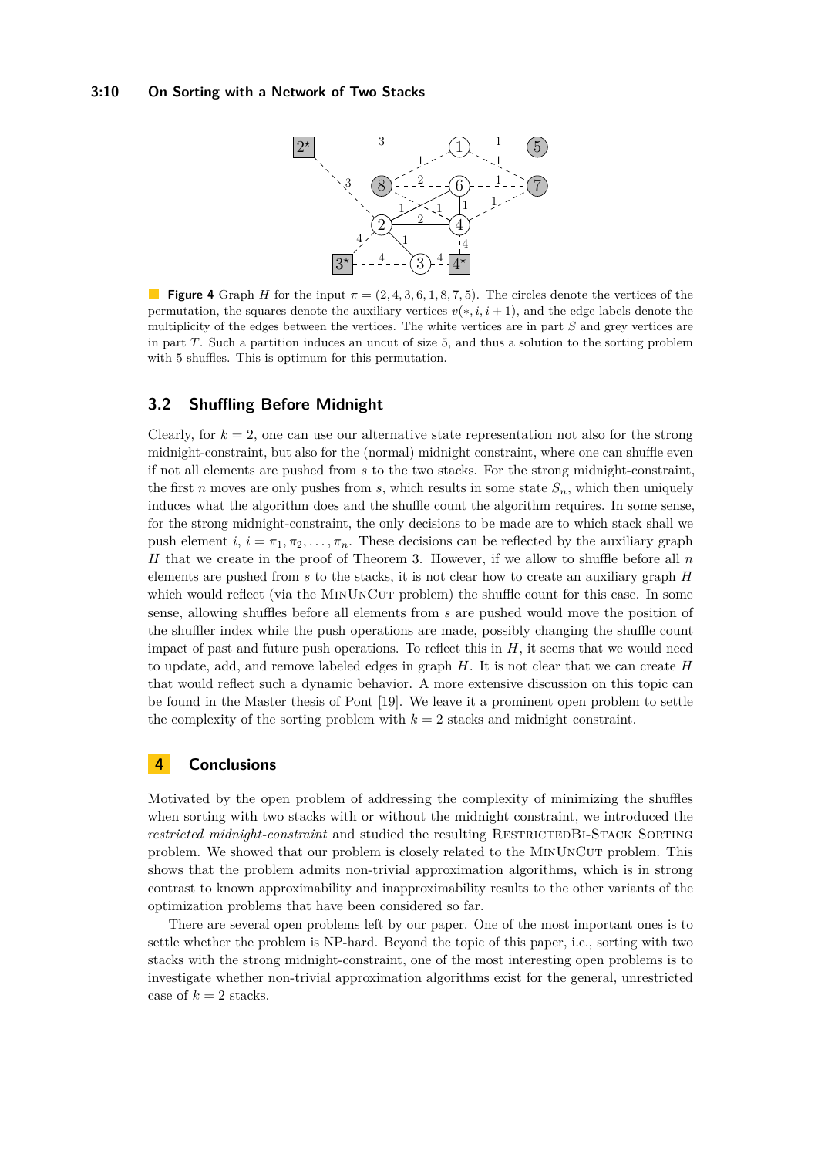<span id="page-9-0"></span>

**Figure 4** Graph *H* for the input  $\pi = (2, 4, 3, 6, 1, 8, 7, 5)$ . The circles denote the vertices of the permutation, the squares denote the auxiliary vertices  $v(*, i, i + 1)$ , and the edge labels denote the multiplicity of the edges between the vertices. The white vertices are in part *S* and grey vertices are in part *T*. Such a partition induces an uncut of size 5, and thus a solution to the sorting problem with 5 shuffles. This is optimum for this permutation.

## **3.2 Shuffling Before Midnight**

Clearly, for  $k = 2$ , one can use our alternative state representation not also for the strong midnight-constraint, but also for the (normal) midnight constraint, where one can shuffle even if not all elements are pushed from *s* to the two stacks. For the strong midnight-constraint, the first *n* moves are only pushes from *s*, which results in some state  $S_n$ , which then uniquely induces what the algorithm does and the shuffle count the algorithm requires. In some sense, for the strong midnight-constraint, the only decisions to be made are to which stack shall we push element  $i, i = \pi_1, \pi_2, \ldots, \pi_n$ . These decisions can be reflected by the auxiliary graph *H* that we create in the proof of Theorem [3.](#page-7-0) However, if we allow to shuffle before all *n* elements are pushed from *s* to the stacks, it is not clear how to create an auxiliary graph *H* which would reflect (via the MINUNCUT problem) the shuffle count for this case. In some sense, allowing shuffles before all elements from *s* are pushed would move the position of the shuffler index while the push operations are made, possibly changing the shuffle count impact of past and future push operations. To reflect this in  $H$ , it seems that we would need to update, add, and remove labeled edges in graph *H*. It is not clear that we can create *H* that would reflect such a dynamic behavior. A more extensive discussion on this topic can be found in the Master thesis of Pont [\[19\]](#page-10-18). We leave it a prominent open problem to settle the complexity of the sorting problem with  $k = 2$  stacks and midnight constraint.

# **4 Conclusions**

Motivated by the open problem of addressing the complexity of minimizing the shuffles when sorting with two stacks with or without the midnight constraint, we introduced the *restricted midnight-constraint* and studied the resulting RESTRICTEDBI-STACK SORTING problem. We showed that our problem is closely related to the MinUnCut problem. This shows that the problem admits non-trivial approximation algorithms, which is in strong contrast to known approximability and inapproximability results to the other variants of the optimization problems that have been considered so far.

There are several open problems left by our paper. One of the most important ones is to settle whether the problem is NP-hard. Beyond the topic of this paper, i.e., sorting with two stacks with the strong midnight-constraint, one of the most interesting open problems is to investigate whether non-trivial approximation algorithms exist for the general, unrestricted case of  $k = 2$  stacks.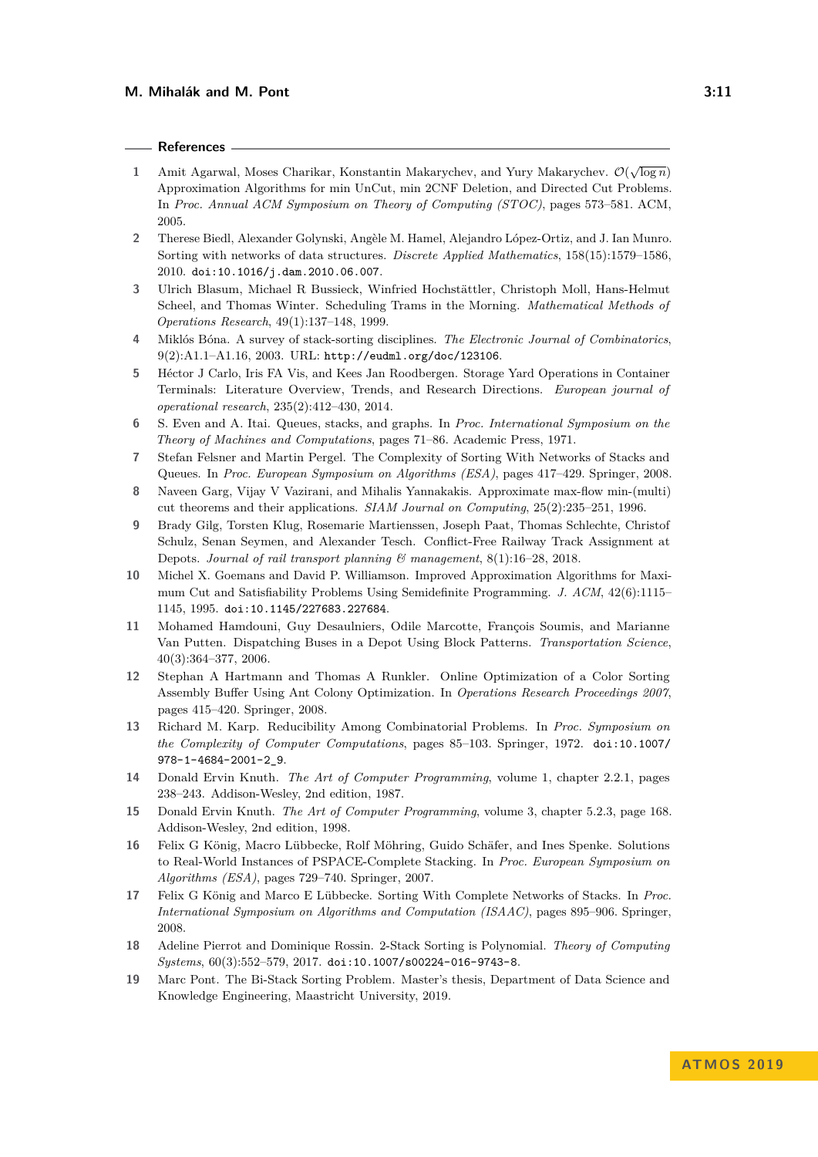#### **References**

- <span id="page-10-16"></span>**1** Amit Agarwal, Moses Charikar, Konstantin Makarychev, and Yury Makarychev.  $\mathcal{O}(\sqrt{\log n})$ Approximation Algorithms for min UnCut, min 2CNF Deletion, and Directed Cut Problems. In *Proc. Annual ACM Symposium on Theory of Computing (STOC)*, pages 573–581. ACM, 2005.
- <span id="page-10-7"></span>**2** Therese Biedl, Alexander Golynski, Angèle M. Hamel, Alejandro López-Ortiz, and J. Ian Munro. Sorting with networks of data structures. *Discrete Applied Mathematics*, 158(15):1579–1586, 2010. [doi:10.1016/j.dam.2010.06.007](https://doi.org/10.1016/j.dam.2010.06.007).
- <span id="page-10-8"></span>**3** Ulrich Blasum, Michael R Bussieck, Winfried Hochstättler, Christoph Moll, Hans-Helmut Scheel, and Thomas Winter. Scheduling Trams in the Morning. *Mathematical Methods of Operations Research*, 49(1):137–148, 1999.
- <span id="page-10-3"></span>**4** Miklós Bóna. A survey of stack-sorting disciplines. *The Electronic Journal of Combinatorics*, 9(2):A1.1–A1.16, 2003. URL: <http://eudml.org/doc/123106>.
- <span id="page-10-13"></span>**5** Héctor J Carlo, Iris FA Vis, and Kees Jan Roodbergen. Storage Yard Operations in Container Terminals: Literature Overview, Trends, and Research Directions. *European journal of operational research*, 235(2):412–430, 2014.
- <span id="page-10-2"></span>**6** S. Even and A. Itai. Queues, stacks, and graphs. In *Proc. International Symposium on the Theory of Machines and Computations*, pages 71–86. Academic Press, 1971.
- <span id="page-10-4"></span>**7** Stefan Felsner and Martin Pergel. The Complexity of Sorting With Networks of Stacks and Queues. In *Proc. European Symposium on Algorithms (ESA)*, pages 417–429. Springer, 2008.
- <span id="page-10-17"></span>**8** Naveen Garg, Vijay V Vazirani, and Mihalis Yannakakis. Approximate max-flow min-(multi) cut theorems and their applications. *SIAM Journal on Computing*, 25(2):235–251, 1996.
- <span id="page-10-10"></span>**9** Brady Gilg, Torsten Klug, Rosemarie Martienssen, Joseph Paat, Thomas Schlechte, Christof Schulz, Senan Seymen, and Alexander Tesch. Conflict-Free Railway Track Assignment at Depots. *Journal of rail transport planning & management*, 8(1):16–28, 2018.
- <span id="page-10-15"></span>**10** Michel X. Goemans and David P. Williamson. Improved Approximation Algorithms for Maximum Cut and Satisfiability Problems Using Semidefinite Programming. *J. ACM*, 42(6):1115– 1145, 1995. [doi:10.1145/227683.227684](https://doi.org/10.1145/227683.227684).
- <span id="page-10-9"></span>**11** Mohamed Hamdouni, Guy Desaulniers, Odile Marcotte, François Soumis, and Marianne Van Putten. Dispatching Buses in a Depot Using Block Patterns. *Transportation Science*, 40(3):364–377, 2006.
- <span id="page-10-12"></span>**12** Stephan A Hartmann and Thomas A Runkler. Online Optimization of a Color Sorting Assembly Buffer Using Ant Colony Optimization. In *Operations Research Proceedings 2007*, pages 415–420. Springer, 2008.
- <span id="page-10-14"></span>**13** Richard M. Karp. Reducibility Among Combinatorial Problems. In *Proc. Symposium on the Complexity of Computer Computations*, pages 85–103. Springer, 1972. [doi:10.1007/](https://doi.org/10.1007/978-1-4684-2001-2_9) [978-1-4684-2001-2\\_9](https://doi.org/10.1007/978-1-4684-2001-2_9).
- <span id="page-10-0"></span>**14** Donald Ervin Knuth. *The Art of Computer Programming*, volume 1, chapter 2.2.1, pages 238–243. Addison-Wesley, 2nd edition, 1987.
- <span id="page-10-1"></span>**15** Donald Ervin Knuth. *The Art of Computer Programming*, volume 3, chapter 5.2.3, page 168. Addison-Wesley, 2nd edition, 1998.
- <span id="page-10-11"></span>**16** Felix G König, Macro Lübbecke, Rolf Möhring, Guido Schäfer, and Ines Spenke. Solutions to Real-World Instances of PSPACE-Complete Stacking. In *Proc. European Symposium on Algorithms (ESA)*, pages 729–740. Springer, 2007.
- <span id="page-10-5"></span>**17** Felix G König and Marco E Lübbecke. Sorting With Complete Networks of Stacks. In *Proc. International Symposium on Algorithms and Computation (ISAAC)*, pages 895–906. Springer, 2008.
- <span id="page-10-6"></span>**18** Adeline Pierrot and Dominique Rossin. 2-Stack Sorting is Polynomial. *Theory of Computing Systems*, 60(3):552–579, 2017. [doi:10.1007/s00224-016-9743-8](https://doi.org/10.1007/s00224-016-9743-8).
- <span id="page-10-18"></span>**19** Marc Pont. The Bi-Stack Sorting Problem. Master's thesis, Department of Data Science and Knowledge Engineering, Maastricht University, 2019.